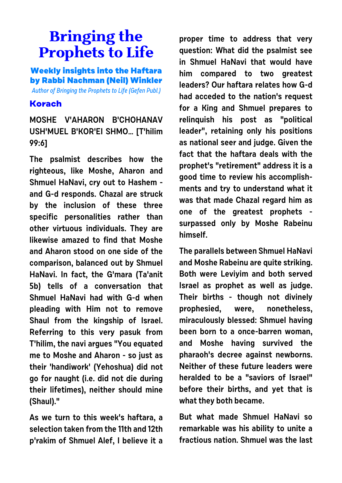## **Bringing the Prophets to Life**

**Weekly insights into the Haftara by Rabbi Nachman (Neil) Winkler**

Author of Bringing the Prophets to Life (Gefen Publ.)

## **Korach**

**MOSHE V'AHARON B'CHOHANAV USH'MUEL B'KOR'EI SHMO… [T'hilim 99:6]**

**The psalmist describes how the righteous, like Moshe, Aharon and Shmuel HaNavi, cry out to Hashem and G-d responds. Chazal are struck by the inclusion of these three specific personalities rather than other virtuous individuals. They are likewise amazed to find that Moshe and Aharon stood on one side of the comparison, balanced out by Shmuel HaNavi. In fact, the G'mara (Ta'anit 5b) tells of a conversation that Shmuel HaNavi had with G-d when pleading with Him not to remove Shaul from the kingship of Israel. Referring to this very pasuk from T'hilim, the navi argues "You equated me to Moshe and Aharon - so just as their 'handiwork' (Yehoshua) did not go for naught (i.e. did not die during their lifetimes), neither should mine (Shaul)."**

**As we turn to this week's haftara, a selection taken from the 11th and 12th p'rakim of Shmuel Alef, I believe it a**

**proper time to address that very question: What did the psalmist see in Shmuel HaNavi that would have him compared to two greatest leaders? Our haftara relates how G-d had acceded to the nation's request for a King and Shmuel prepares to relinquish his post as "political leader", retaining only his positions as national seer and judge. Given the fact that the haftara deals with the prophet's "retirement" address it is a good time to review his accomplishments and try to understand what it was that made Chazal regard him as one of the greatest prophets surpassed only by Moshe Rabeinu himself.** 

**The parallels between Shmuel HaNavi and Moshe Rabeinu are quite striking. Both were Leviyim and both served Israel as prophet as well as judge. Their births - though not divinely prophesied, were, nonetheless, miraculously blessed: Shmuel having been born to a once-barren woman, and Moshe having survived the pharaoh's decree against newborns. Neither of these future leaders were heralded to be a "saviors of Israel" before their births, and yet that is what they both became.** 

**But what made Shmuel HaNavi so remarkable was his ability to unite a fractious nation. Shmuel was the last**